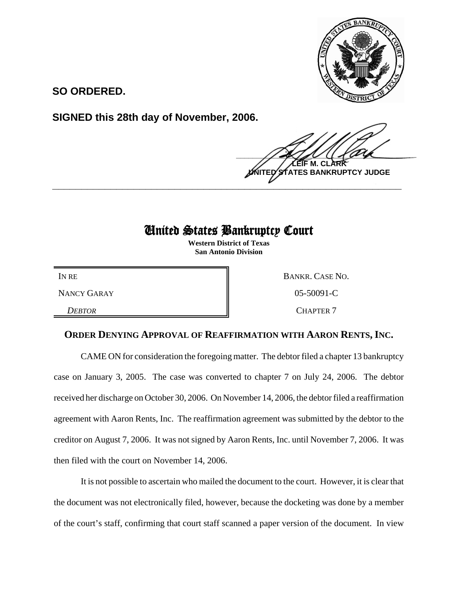

**SO ORDERED.**

**SIGNED this 28th day of November, 2006.**

 $\frac{1}{2}$ **LEIF M. CLARK BANKRUPTCY JUDGE \_\_\_\_\_\_\_\_\_\_\_\_\_\_\_\_\_\_\_\_\_\_\_\_\_\_\_\_\_\_\_\_\_\_\_\_\_\_\_\_\_\_\_\_\_\_\_\_\_\_\_\_\_\_\_\_\_\_\_\_**

## United States Bankruptcy Court

**Western District of Texas San Antonio Division**

IN RE BANKR. CASE NO. NANCY GARAY 8 65-50091-C **DEBTOR** CHAPTER 7

## **ORDER DENYING APPROVAL OF REAFFIRMATION WITH AARON RENTS, INC.**

CAME ON for consideration the foregoing matter. The debtor filed a chapter 13 bankruptcy case on January 3, 2005. The case was converted to chapter 7 on July 24, 2006. The debtor received her discharge on October 30, 2006. On November 14, 2006, the debtor filed a reaffirmation agreement with Aaron Rents, Inc. The reaffirmation agreement was submitted by the debtor to the creditor on August 7, 2006. It was not signed by Aaron Rents, Inc. until November 7, 2006. It was then filed with the court on November 14, 2006.

It is not possible to ascertain who mailed the document to the court. However, it is clear that the document was not electronically filed, however, because the docketing was done by a member of the court's staff, confirming that court staff scanned a paper version of the document. In view